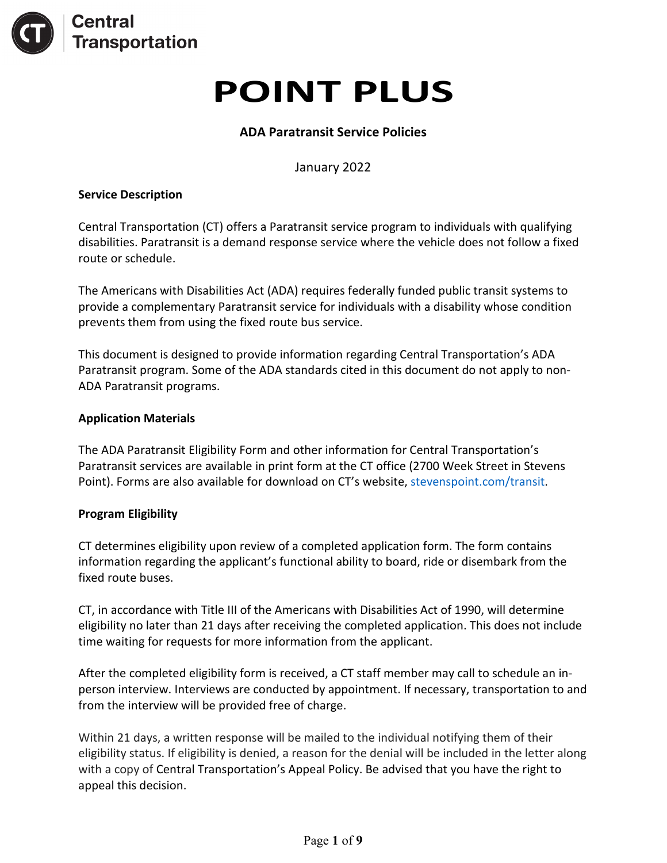

# **POINT PLUS**

# **ADA Paratransit Service Policies**

January 2022

#### **Service Description**

Central Transportation (CT) offers a Paratransit service program to individuals with qualifying disabilities. Paratransit is a demand response service where the vehicle does not follow a fixed route or schedule.

The Americans with Disabilities Act (ADA) requires federally funded public transit systems to provide a complementary Paratransit service for individuals with a disability whose condition prevents them from using the fixed route bus service.

This document is designed to provide information regarding Central Transportation's ADA Paratransit program. Some of the ADA standards cited in this document do not apply to non-ADA Paratransit programs.

#### **Application Materials**

The ADA Paratransit Eligibility Form and other information for Central Transportation's Paratransit services are available in print form at the CT office (2700 Week Street in Stevens Point). Forms are also available for download on CT's website, [stevenspoint.com/transit.](http://www.stevenspoint.com/transit)

#### **Program Eligibility**

CT determines eligibility upon review of a completed application form. The form contains information regarding the applicant's functional ability to board, ride or disembark from the fixed route buses.

CT, in accordance with Title III of the Americans with Disabilities Act of 1990, will determine eligibility no later than 21 days after receiving the completed application. This does not include time waiting for requests for more information from the applicant.

After the completed eligibility form is received, a CT staff member may call to schedule an inperson interview. Interviews are conducted by appointment. If necessary, transportation to and from the interview will be provided free of charge.

Within 21 days, a written response will be mailed to the individual notifying them of their eligibility status. If eligibility is denied, a reason for the denial will be included in the letter along with a copy of Central Transportation's Appeal Policy. Be advised that you have the right to appeal this decision.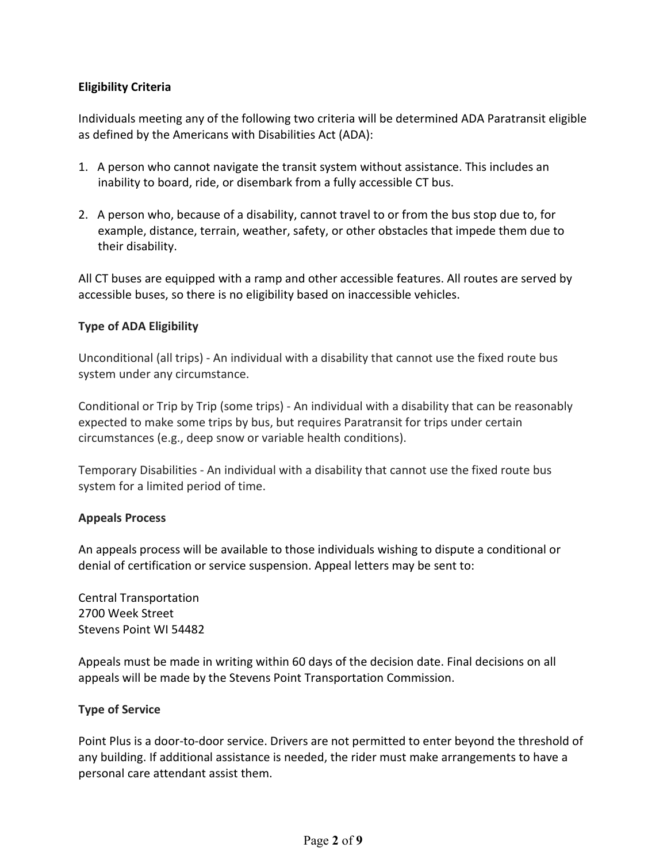# **Eligibility Criteria**

Individuals meeting any of the following two criteria will be determined ADA Paratransit eligible as defined by the Americans with Disabilities Act (ADA):

- 1. A person who cannot navigate the transit system without assistance. This includes an inability to board, ride, or disembark from a fully accessible CT bus.
- 2. A person who, because of a disability, cannot travel to or from the bus stop due to, for example, distance, terrain, weather, safety, or other obstacles that impede them due to their disability.

All CT buses are equipped with a ramp and other accessible features. All routes are served by accessible buses, so there is no eligibility based on inaccessible vehicles.

# **Type of ADA Eligibility**

Unconditional (all trips) - An individual with a disability that cannot use the fixed route bus system under any circumstance.

Conditional or Trip by Trip (some trips) - An individual with a disability that can be reasonably expected to make some trips by bus, but requires Paratransit for trips under certain circumstances (e.g., deep snow or variable health conditions).

Temporary Disabilities - An individual with a disability that cannot use the fixed route bus system for a limited period of time.

#### **Appeals Process**

An appeals process will be available to those individuals wishing to dispute a conditional or denial of certification or service suspension. Appeal letters may be sent to:

Central Transportation 2700 Week Street Stevens Point WI 54482

Appeals must be made in writing within 60 days of the decision date. Final decisions on all appeals will be made by the Stevens Point Transportation Commission.

#### **Type of Service**

Point Plus is a door-to-door service. Drivers are not permitted to enter beyond the threshold of any building. If additional assistance is needed, the rider must make arrangements to have a personal care attendant assist them.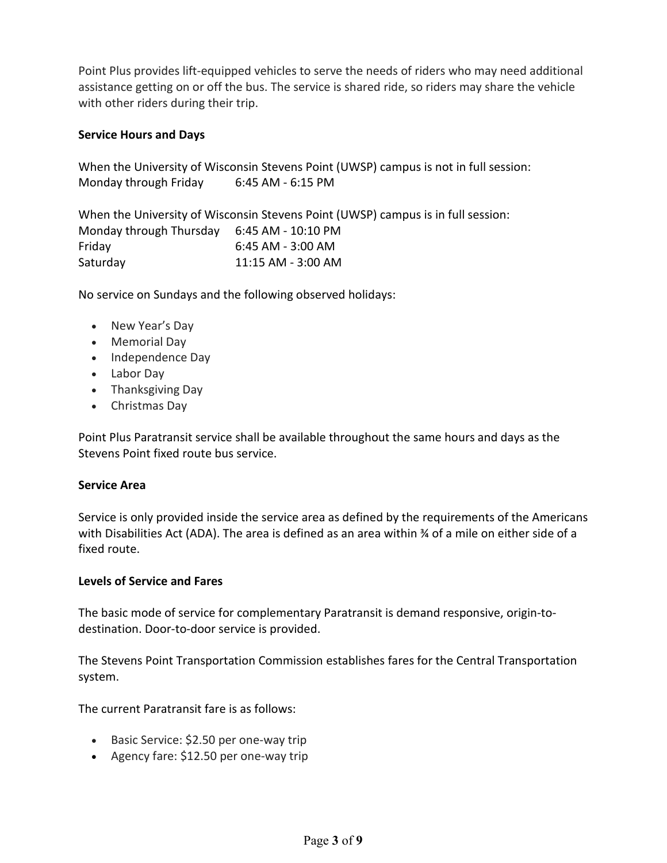Point Plus provides lift-equipped vehicles to serve the needs of riders who may need additional assistance getting on or off the bus. The service is shared ride, so riders may share the vehicle with other riders during their trip.

## **Service Hours and Days**

When the University of Wisconsin Stevens Point (UWSP) campus is not in full session: Monday through Friday 6:45 AM - 6:15 PM

When the University of Wisconsin Stevens Point (UWSP) campus is in full session: Monday through Thursday 6:45 AM - 10:10 PM Friday 6:45 AM - 3:00 AM Saturday 11:15 AM - 3:00 AM

No service on Sundays and the following observed holidays:

- New Year's Day
- Memorial Day
- Independence Day
- Labor Day
- Thanksgiving Day
- Christmas Day

Point Plus Paratransit service shall be available throughout the same hours and days as the Stevens Point fixed route bus service.

#### **Service Area**

Service is only provided inside the service area as defined by the requirements of the Americans with Disabilities Act (ADA). The area is defined as an area within ¾ of a mile on either side of a fixed route.

#### **Levels of Service and Fares**

The basic mode of service for complementary Paratransit is demand responsive, origin-todestination. Door-to-door service is provided.

The Stevens Point Transportation Commission establishes fares for the Central Transportation system.

The current Paratransit fare is as follows:

- Basic Service: \$2.50 per one-way trip
- Agency fare: \$12.50 per one-way trip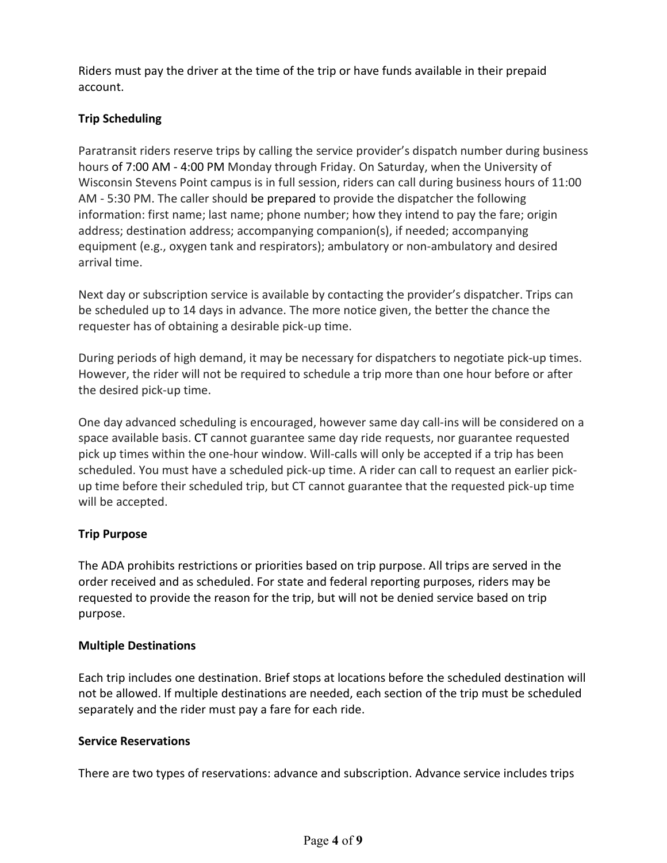Riders must pay the driver at the time of the trip or have funds available in their prepaid account.

# **Trip Scheduling**

Paratransit riders reserve trips by calling the service provider's dispatch number during business hours of 7:00 AM - 4:00 PM Monday through Friday. On Saturday, when the University of Wisconsin Stevens Point campus is in full session, riders can call during business hours of 11:00 AM - 5:30 PM. The caller should be prepared to provide the dispatcher the following information: first name; last name; phone number; how they intend to pay the fare; origin address; destination address; accompanying companion(s), if needed; accompanying equipment (e.g., oxygen tank and respirators); ambulatory or non-ambulatory and desired arrival time.

Next day or subscription service is available by contacting the provider's dispatcher. Trips can be scheduled up to 14 days in advance. The more notice given, the better the chance the requester has of obtaining a desirable pick-up time.

During periods of high demand, it may be necessary for dispatchers to negotiate pick-up times. However, the rider will not be required to schedule a trip more than one hour before or after the desired pick-up time.

One day advanced scheduling is encouraged, however same day call-ins will be considered on a space available basis. CT cannot guarantee same day ride requests, nor guarantee requested pick up times within the one-hour window. Will-calls will only be accepted if a trip has been scheduled. You must have a scheduled pick-up time. A rider can call to request an earlier pickup time before their scheduled trip, but CT cannot guarantee that the requested pick-up time will be accepted.

# **Trip Purpose**

The ADA prohibits restrictions or priorities based on trip purpose. All trips are served in the order received and as scheduled. For state and federal reporting purposes, riders may be requested to provide the reason for the trip, but will not be denied service based on trip purpose.

# **Multiple Destinations**

Each trip includes one destination. Brief stops at locations before the scheduled destination will not be allowed. If multiple destinations are needed, each section of the trip must be scheduled separately and the rider must pay a fare for each ride.

#### **Service Reservations**

There are two types of reservations: advance and subscription. Advance service includes trips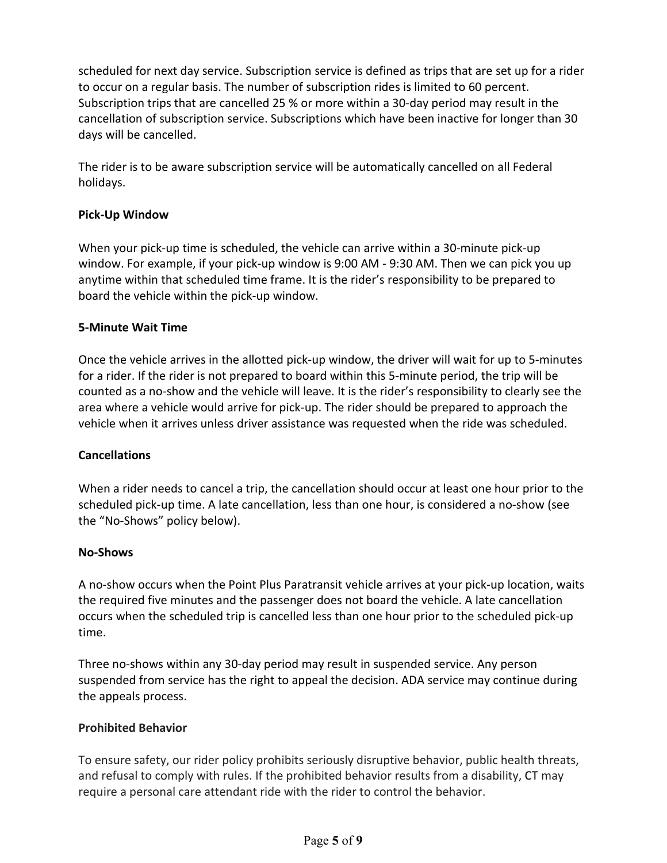scheduled for next day service. Subscription service is defined as trips that are set up for a rider to occur on a regular basis. The number of subscription rides is limited to 60 percent. Subscription trips that are cancelled 25 % or more within a 30-day period may result in the cancellation of subscription service. Subscriptions which have been inactive for longer than 30 days will be cancelled.

The rider is to be aware subscription service will be automatically cancelled on all Federal holidays.

## **Pick-Up Window**

When your pick-up time is scheduled, the vehicle can arrive within a 30-minute pick-up window. For example, if your pick-up window is 9:00 AM - 9:30 AM. Then we can pick you up anytime within that scheduled time frame. It is the rider's responsibility to be prepared to board the vehicle within the pick-up window.

## **5-Minute Wait Time**

Once the vehicle arrives in the allotted pick-up window, the driver will wait for up to 5-minutes for a rider. If the rider is not prepared to board within this 5-minute period, the trip will be counted as a no-show and the vehicle will leave. It is the rider's responsibility to clearly see the area where a vehicle would arrive for pick-up. The rider should be prepared to approach the vehicle when it arrives unless driver assistance was requested when the ride was scheduled.

#### **Cancellations**

When a rider needs to cancel a trip, the cancellation should occur at least one hour prior to the scheduled pick-up time. A late cancellation, less than one hour, is considered a no-show (see the "No-Shows" policy below).

#### **No-Shows**

A no-show occurs when the Point Plus Paratransit vehicle arrives at your pick-up location, waits the required five minutes and the passenger does not board the vehicle. A late cancellation occurs when the scheduled trip is cancelled less than one hour prior to the scheduled pick-up time.

Three no-shows within any 30-day period may result in suspended service. Any person suspended from service has the right to appeal the decision. ADA service may continue during the appeals process.

#### **Prohibited Behavior**

To ensure safety, our rider policy prohibits seriously disruptive behavior, public health threats, and refusal to comply with rules. If the prohibited behavior results from a disability, CT may require a personal care attendant ride with the rider to control the behavior.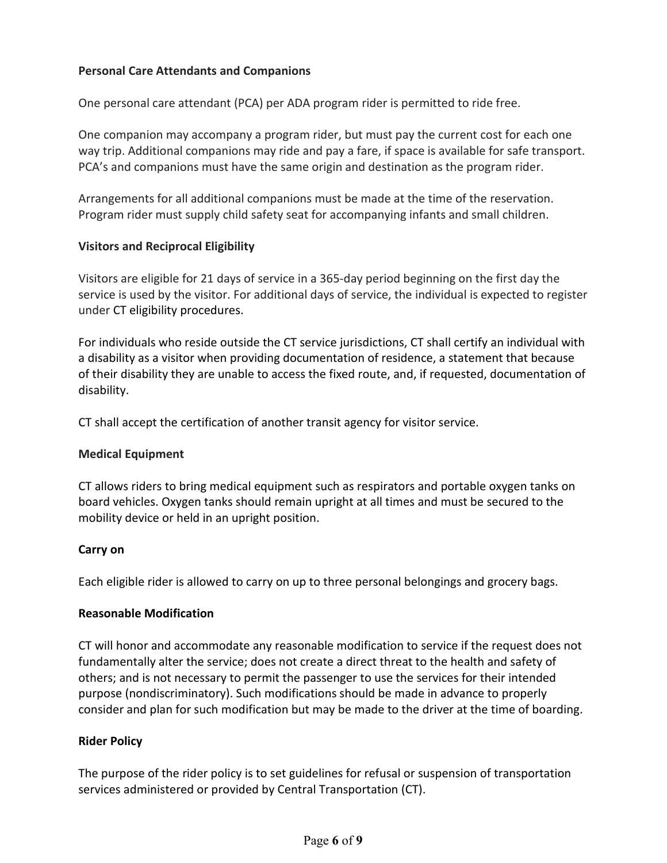# **Personal Care Attendants and Companions**

One personal care attendant (PCA) per ADA program rider is permitted to ride free.

One companion may accompany a program rider, but must pay the current cost for each one way trip. Additional companions may ride and pay a fare, if space is available for safe transport. PCA's and companions must have the same origin and destination as the program rider.

Arrangements for all additional companions must be made at the time of the reservation. Program rider must supply child safety seat for accompanying infants and small children.

## **Visitors and Reciprocal Eligibility**

Visitors are eligible for 21 days of service in a 365-day period beginning on the first day the service is used by the visitor. For additional days of service, the individual is expected to register under CT eligibility procedures.

For individuals who reside outside the CT service jurisdictions, CT shall certify an individual with a disability as a visitor when providing documentation of residence, a statement that because of their disability they are unable to access the fixed route, and, if requested, documentation of disability.

CT shall accept the certification of another transit agency for visitor service.

#### **Medical Equipment**

CT allows riders to bring medical equipment such as respirators and portable oxygen tanks on board vehicles. Oxygen tanks should remain upright at all times and must be secured to the mobility device or held in an upright position.

#### **Carry on**

Each eligible rider is allowed to carry on up to three personal belongings and grocery bags.

#### **Reasonable Modification**

CT will honor and accommodate any reasonable modification to service if the request does not fundamentally alter the service; does not create a direct threat to the health and safety of others; and is not necessary to permit the passenger to use the services for their intended purpose (nondiscriminatory). Such modifications should be made in advance to properly consider and plan for such modification but may be made to the driver at the time of boarding.

#### **Rider Policy**

The purpose of the rider policy is to set guidelines for refusal or suspension of transportation services administered or provided by Central Transportation (CT).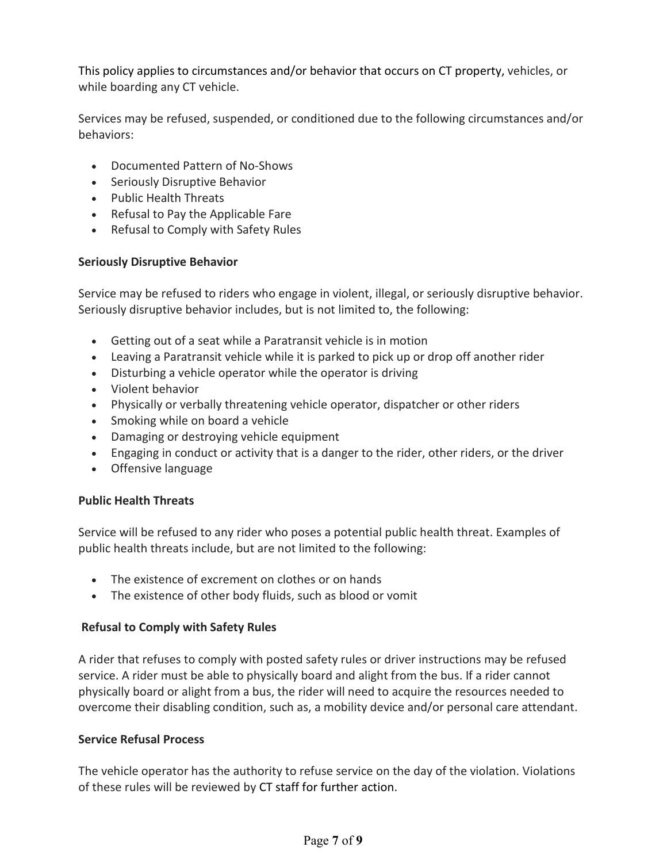This policy applies to circumstances and/or behavior that occurs on CT property, vehicles, or while boarding any CT vehicle.

Services may be refused, suspended, or conditioned due to the following circumstances and/or behaviors:

- Documented Pattern of No-Shows
- Seriously Disruptive Behavior
- Public Health Threats
- Refusal to Pay the Applicable Fare
- Refusal to Comply with Safety Rules

## **Seriously Disruptive Behavior**

Service may be refused to riders who engage in violent, illegal, or seriously disruptive behavior. Seriously disruptive behavior includes, but is not limited to, the following:

- Getting out of a seat while a Paratransit vehicle is in motion
- Leaving a Paratransit vehicle while it is parked to pick up or drop off another rider
- Disturbing a vehicle operator while the operator is driving
- Violent behavior
- Physically or verbally threatening vehicle operator, dispatcher or other riders
- Smoking while on board a vehicle
- Damaging or destroying vehicle equipment
- Engaging in conduct or activity that is a danger to the rider, other riders, or the driver
- Offensive language

# **Public Health Threats**

Service will be refused to any rider who poses a potential public health threat. Examples of public health threats include, but are not limited to the following:

- The existence of excrement on clothes or on hands
- The existence of other body fluids, such as blood or vomit

# **Refusal to Comply with Safety Rules**

A rider that refuses to comply with posted safety rules or driver instructions may be refused service. A rider must be able to physically board and alight from the bus. If a rider cannot physically board or alight from a bus, the rider will need to acquire the resources needed to overcome their disabling condition, such as, a mobility device and/or personal care attendant.

# **Service Refusal Process**

The vehicle operator has the authority to refuse service on the day of the violation. Violations of these rules will be reviewed by CT staff for further action.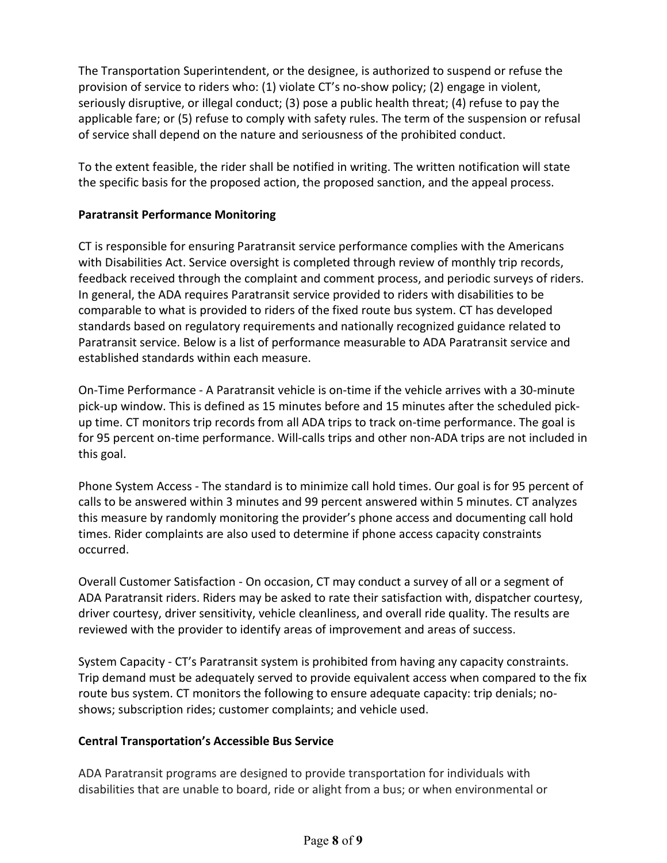The Transportation Superintendent, or the designee, is authorized to suspend or refuse the provision of service to riders who: (1) violate CT's no-show policy; (2) engage in violent, seriously disruptive, or illegal conduct; (3) pose a public health threat; (4) refuse to pay the applicable fare; or (5) refuse to comply with safety rules. The term of the suspension or refusal of service shall depend on the nature and seriousness of the prohibited conduct.

To the extent feasible, the rider shall be notified in writing. The written notification will state the specific basis for the proposed action, the proposed sanction, and the appeal process.

# **Paratransit Performance Monitoring**

CT is responsible for ensuring Paratransit service performance complies with the Americans with Disabilities Act. Service oversight is completed through review of monthly trip records, feedback received through the complaint and comment process, and periodic surveys of riders. In general, the ADA requires Paratransit service provided to riders with disabilities to be comparable to what is provided to riders of the fixed route bus system. CT has developed standards based on regulatory requirements and nationally recognized guidance related to Paratransit service. Below is a list of performance measurable to ADA Paratransit service and established standards within each measure.

On-Time Performance - A Paratransit vehicle is on-time if the vehicle arrives with a 30-minute pick-up window. This is defined as 15 minutes before and 15 minutes after the scheduled pickup time. CT monitors trip records from all ADA trips to track on-time performance. The goal is for 95 percent on-time performance. Will-calls trips and other non-ADA trips are not included in this goal.

Phone System Access - The standard is to minimize call hold times. Our goal is for 95 percent of calls to be answered within 3 minutes and 99 percent answered within 5 minutes. CT analyzes this measure by randomly monitoring the provider's phone access and documenting call hold times. Rider complaints are also used to determine if phone access capacity constraints occurred.

Overall Customer Satisfaction - On occasion, CT may conduct a survey of all or a segment of ADA Paratransit riders. Riders may be asked to rate their satisfaction with, dispatcher courtesy, driver courtesy, driver sensitivity, vehicle cleanliness, and overall ride quality. The results are reviewed with the provider to identify areas of improvement and areas of success.

System Capacity - CT's Paratransit system is prohibited from having any capacity constraints. Trip demand must be adequately served to provide equivalent access when compared to the fix route bus system. CT monitors the following to ensure adequate capacity: trip denials; noshows; subscription rides; customer complaints; and vehicle used.

# **Central Transportation's Accessible Bus Service**

ADA Paratransit programs are designed to provide transportation for individuals with disabilities that are unable to board, ride or alight from a bus; or when environmental or